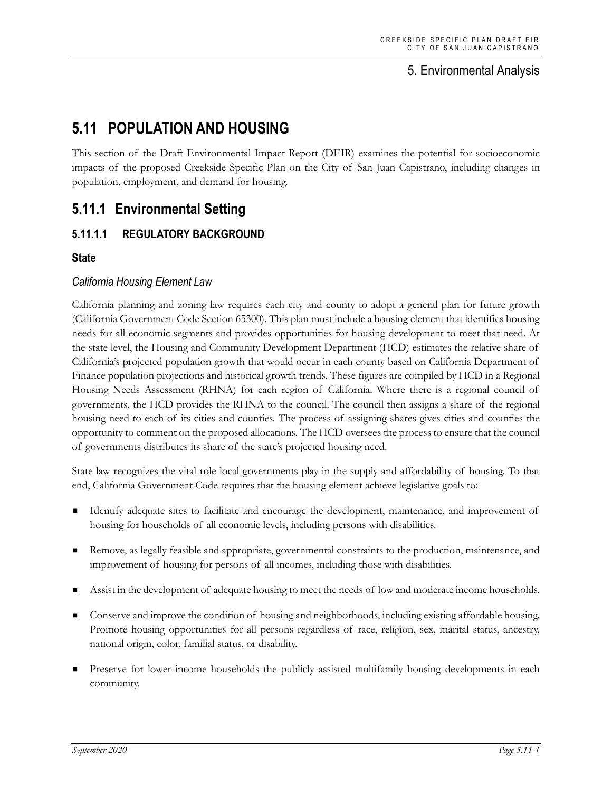## 5. Environmental Analysis

# **5.11 POPULATION AND HOUSING**

This section of the Draft Environmental Impact Report (DEIR) examines the potential for socioeconomic impacts of the proposed Creekside Specific Plan on the City of San Juan Capistrano, including changes in population, employment, and demand for housing.

# **5.11.1 Environmental Setting**

## **5.11.1.1 REGULATORY BACKGROUND**

### **State**

### *California Housing Element Law*

California planning and zoning law requires each city and county to adopt a general plan for future growth (California Government Code Section 65300). This plan must include a housing element that identifies housing needs for all economic segments and provides opportunities for housing development to meet that need. At the state level, the Housing and Community Development Department (HCD) estimates the relative share of California's projected population growth that would occur in each county based on California Department of Finance population projections and historical growth trends. These figures are compiled by HCD in a Regional Housing Needs Assessment (RHNA) for each region of California. Where there is a regional council of governments, the HCD provides the RHNA to the council. The council then assigns a share of the regional housing need to each of its cities and counties. The process of assigning shares gives cities and counties the opportunity to comment on the proposed allocations. The HCD oversees the process to ensure that the council of governments distributes its share of the state's projected housing need.

State law recognizes the vital role local governments play in the supply and affordability of housing. To that end, California Government Code requires that the housing element achieve legislative goals to:

- Identify adequate sites to facilitate and encourage the development, maintenance, and improvement of housing for households of all economic levels, including persons with disabilities.
- Remove, as legally feasible and appropriate, governmental constraints to the production, maintenance, and improvement of housing for persons of all incomes, including those with disabilities.
- Assist in the development of adequate housing to meet the needs of low and moderate income households.
- Conserve and improve the condition of housing and neighborhoods, including existing affordable housing. Promote housing opportunities for all persons regardless of race, religion, sex, marital status, ancestry, national origin, color, familial status, or disability.
- Preserve for lower income households the publicly assisted multifamily housing developments in each community.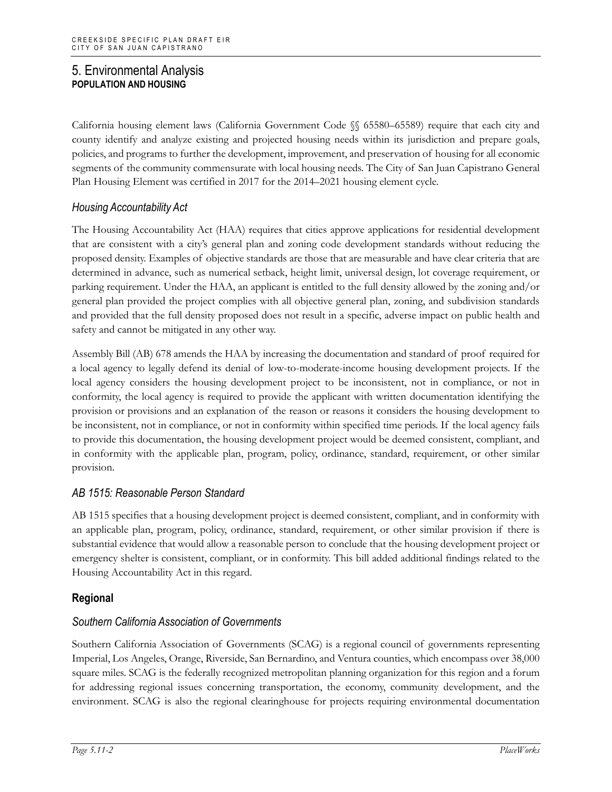California housing element laws (California Government Code §§ 65580–65589) require that each city and county identify and analyze existing and projected housing needs within its jurisdiction and prepare goals, policies, and programs to further the development, improvement, and preservation of housing for all economic segments of the community commensurate with local housing needs. The City of San Juan Capistrano General Plan Housing Element was certified in 2017 for the 2014–2021 housing element cycle.

### *Housing Accountability Act*

The Housing Accountability Act (HAA) requires that cities approve applications for residential development that are consistent with a city's general plan and zoning code development standards without reducing the proposed density. Examples of objective standards are those that are measurable and have clear criteria that are determined in advance, such as numerical setback, height limit, universal design, lot coverage requirement, or parking requirement. Under the HAA, an applicant is entitled to the full density allowed by the zoning and/or general plan provided the project complies with all objective general plan, zoning, and subdivision standards and provided that the full density proposed does not result in a specific, adverse impact on public health and safety and cannot be mitigated in any other way.

Assembly Bill (AB) 678 amends the HAA by increasing the documentation and standard of proof required for a local agency to legally defend its denial of low-to-moderate-income housing development projects. If the local agency considers the housing development project to be inconsistent, not in compliance, or not in conformity, the local agency is required to provide the applicant with written documentation identifying the provision or provisions and an explanation of the reason or reasons it considers the housing development to be inconsistent, not in compliance, or not in conformity within specified time periods. If the local agency fails to provide this documentation, the housing development project would be deemed consistent, compliant, and in conformity with the applicable plan, program, policy, ordinance, standard, requirement, or other similar provision.

### *AB 1515: Reasonable Person Standard*

AB 1515 specifies that a housing development project is deemed consistent, compliant, and in conformity with an applicable plan, program, policy, ordinance, standard, requirement, or other similar provision if there is substantial evidence that would allow a reasonable person to conclude that the housing development project or emergency shelter is consistent, compliant, or in conformity. This bill added additional findings related to the Housing Accountability Act in this regard.

### **Regional**

### *Southern California Association of Governments*

Southern California Association of Governments (SCAG) is a regional council of governments representing Imperial, Los Angeles, Orange, Riverside, San Bernardino, and Ventura counties, which encompass over 38,000 square miles. SCAG is the federally recognized metropolitan planning organization for this region and a forum for addressing regional issues concerning transportation, the economy, community development, and the environment. SCAG is also the regional clearinghouse for projects requiring environmental documentation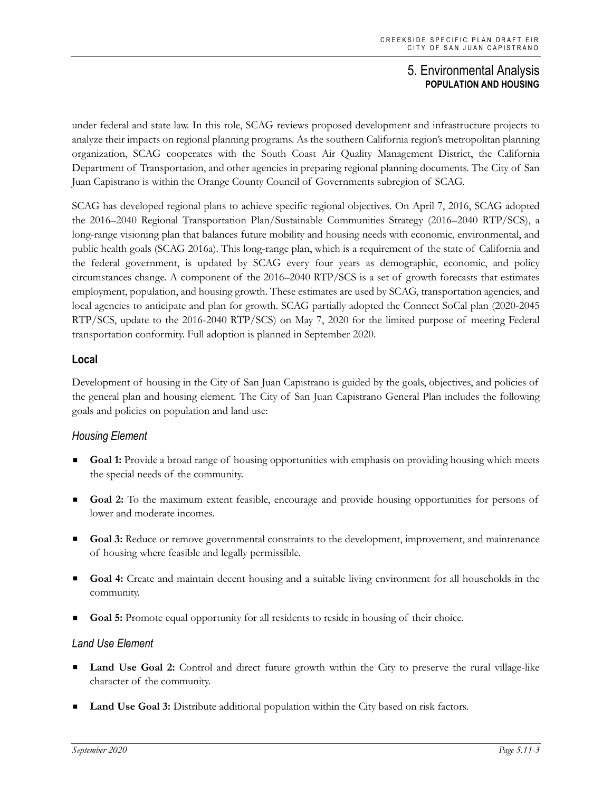under federal and state law. In this role, SCAG reviews proposed development and infrastructure projects to analyze their impacts on regional planning programs. As the southern California region's metropolitan planning organization, SCAG cooperates with the South Coast Air Quality Management District, the California Department of Transportation, and other agencies in preparing regional planning documents. The City of San Juan Capistrano is within the Orange County Council of Governments subregion of SCAG.

SCAG has developed regional plans to achieve specific regional objectives. On April 7, 2016, SCAG adopted the 2016–2040 Regional Transportation Plan/Sustainable Communities Strategy (2016–2040 RTP/SCS), a long-range visioning plan that balances future mobility and housing needs with economic, environmental, and public health goals (SCAG 2016a). This long-range plan, which is a requirement of the state of California and the federal government, is updated by SCAG every four years as demographic, economic, and policy circumstances change. A component of the 2016–2040 RTP/SCS is a set of growth forecasts that estimates employment, population, and housing growth. These estimates are used by SCAG, transportation agencies, and local agencies to anticipate and plan for growth. SCAG partially adopted the Connect SoCal plan (2020-2045 RTP/SCS, update to the 2016-2040 RTP/SCS) on May 7, 2020 for the limited purpose of meeting Federal transportation conformity. Full adoption is planned in September 2020.

### **Local**

Development of housing in the City of San Juan Capistrano is guided by the goals, objectives, and policies of the general plan and housing element. The City of San Juan Capistrano General Plan includes the following goals and policies on population and land use:

### *Housing Element*

- **Goal 1:** Provide a broad range of housing opportunities with emphasis on providing housing which meets the special needs of the community.
- **Goal 2:** To the maximum extent feasible, encourage and provide housing opportunities for persons of lower and moderate incomes.
- Goal 3: Reduce or remove governmental constraints to the development, improvement, and maintenance of housing where feasible and legally permissible.
- **Goal 4:** Create and maintain decent housing and a suitable living environment for all households in the community.
- **Goal 5:** Promote equal opportunity for all residents to reside in housing of their choice.

### *Land Use Element*

- **Land Use Goal 2:** Control and direct future growth within the City to preserve the rural village-like character of the community.
- **Land Use Goal 3:** Distribute additional population within the City based on risk factors.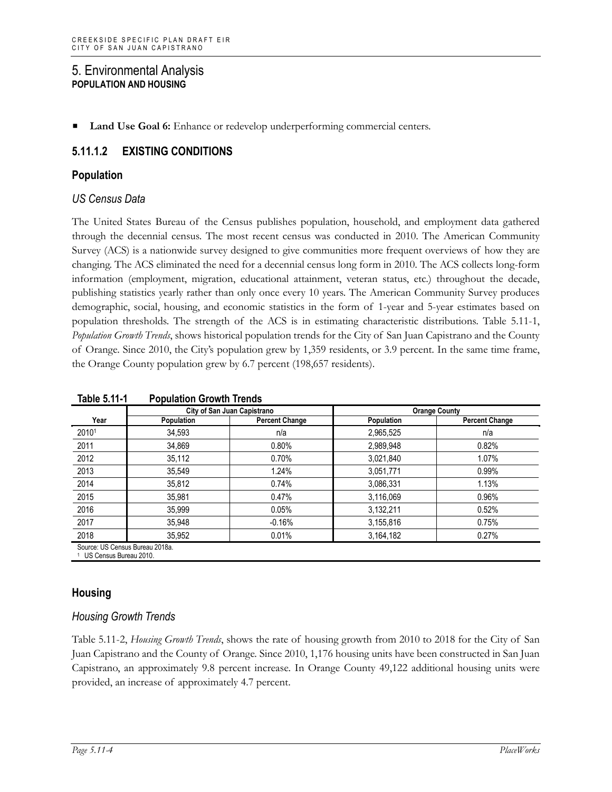**Land Use Goal 6:** Enhance or redevelop underperforming commercial centers.

## **5.11.1.2 EXISTING CONDITIONS**

#### **Population**

#### *US Census Data*

The United States Bureau of the Census publishes population, household, and employment data gathered through the decennial census. The most recent census was conducted in 2010. The American Community Survey (ACS) is a nationwide survey designed to give communities more frequent overviews of how they are changing. The ACS eliminated the need for a decennial census long form in 2010. The ACS collects long-form information (employment, migration, educational attainment, veteran status, etc.) throughout the decade, publishing statistics yearly rather than only once every 10 years. The American Community Survey produces demographic, social, housing, and economic statistics in the form of 1-year and 5-year estimates based on population thresholds. The strength of the ACS is in estimating characteristic distributions. Table 5.11-1, *Population Growth Trends*, shows historical population trends for the City of San Juan Capistrano and the County of Orange. Since 2010, the City's population grew by 1,359 residents, or 3.9 percent. In the same time frame, the Orange County population grew by 6.7 percent (198,657 residents).

|                                                                        |            | City of San Juan Capistrano | <b>Orange County</b> |                       |  |  |
|------------------------------------------------------------------------|------------|-----------------------------|----------------------|-----------------------|--|--|
| Year                                                                   | Population | <b>Percent Change</b>       | Population           | <b>Percent Change</b> |  |  |
| 20101                                                                  | 34.593     | n/a                         | 2,965,525            | n/a                   |  |  |
| 2011                                                                   | 34,869     | 0.80%                       | 2,989,948            | 0.82%                 |  |  |
| 2012                                                                   | 35,112     | 0.70%                       | 3,021,840            | 1.07%                 |  |  |
| 2013                                                                   | 35,549     | 1.24%                       | 3,051,771            | 0.99%                 |  |  |
| 2014                                                                   | 35,812     | 0.74%                       | 3,086,331            | 1.13%                 |  |  |
| 2015                                                                   | 35,981     | 0.47%                       | 3,116,069            | 0.96%                 |  |  |
| 2016                                                                   | 35,999     | 0.05%                       | 3,132,211            | 0.52%                 |  |  |
| 2017                                                                   | 35,948     | $-0.16%$                    | 3,155,816            | 0.75%                 |  |  |
| 2018                                                                   | 35,952     | 0.01%                       | 3,164,182            | 0.27%                 |  |  |
| Source: US Census Bureau 2018a.<br><sup>1</sup> US Census Bureau 2010. |            |                             |                      |                       |  |  |

**Table 5.11-1 Population Growth Trends**

### **Housing**

### *Housing Growth Trends*

Table 5.11-2, *Housing Growth Trends*, shows the rate of housing growth from 2010 to 2018 for the City of San Juan Capistrano and the County of Orange. Since 2010, 1,176 housing units have been constructed in San Juan Capistrano, an approximately 9.8 percent increase. In Orange County 49,122 additional housing units were provided, an increase of approximately 4.7 percent.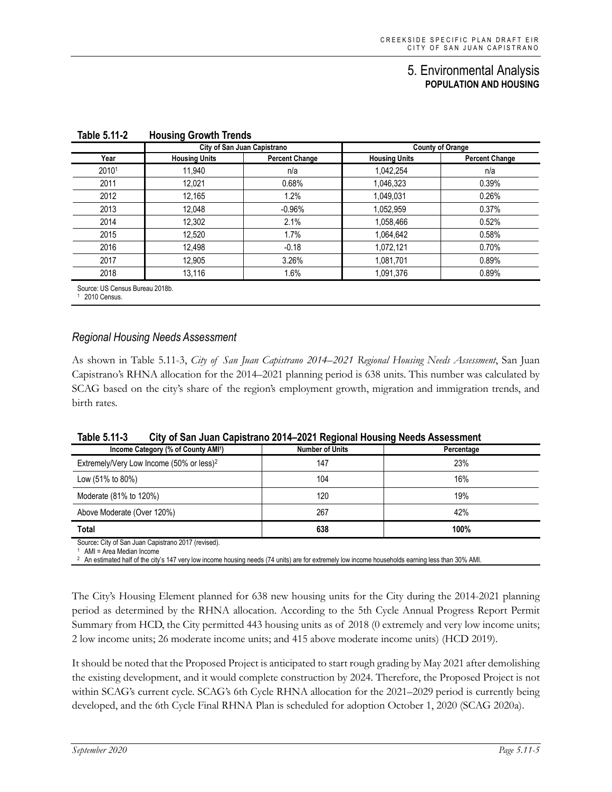|       | City of San Juan Capistrano |                       | <b>County of Orange</b> |                       |
|-------|-----------------------------|-----------------------|-------------------------|-----------------------|
| Year  | <b>Housing Units</b>        | <b>Percent Change</b> | <b>Housing Units</b>    | <b>Percent Change</b> |
| 20101 | 11,940                      | n/a                   | 1,042,254               | n/a                   |
| 2011  | 12,021                      | 0.68%                 | 1,046,323               | 0.39%                 |
| 2012  | 12,165                      | 1.2%                  | 1,049,031               | 0.26%                 |
| 2013  | 12,048                      | $-0.96%$              | 1,052,959               | 0.37%                 |
| 2014  | 12,302                      | 2.1%                  | 1,058,466               | 0.52%                 |
| 2015  | 12,520                      | 1.7%                  | 1,064,642               | 0.58%                 |
| 2016  | 12,498                      | $-0.18$               | 1,072,121               | 0.70%                 |
| 2017  | 12,905                      | 3.26%                 | 1,081,701               | 0.89%                 |
| 2018  | 13,116                      | 1.6%                  | 1,091,376               | 0.89%                 |

**Table 5.11-2 Housing Growth Trends**

1 2010 Census.

#### *Regional Housing Needs Assessment*

As shown in Table 5.11-3, *City of San Juan Capistrano 2014–2021 Regional Housing Needs Assessment*, San Juan Capistrano's RHNA allocation for the 2014–2021 planning period is 638 units. This number was calculated by SCAG based on the city's share of the region's employment growth, migration and immigration trends, and birth rates.

| Table 5.11-3<br>City of San Juan Capistrano 2014–2021 Regional Housing Needs Assessment |
|-----------------------------------------------------------------------------------------|
|-----------------------------------------------------------------------------------------|

| Income Category (% of County AMI <sup>1</sup> )      | <b>Number of Units</b> | Percentage |  |  |  |  |
|------------------------------------------------------|------------------------|------------|--|--|--|--|
| Extremely/Very Low Income (50% or less) <sup>2</sup> | 147                    | 23%        |  |  |  |  |
| Low (51% to 80%)                                     | 104                    | 16%        |  |  |  |  |
| Moderate (81% to 120%)                               | 120                    | 19%        |  |  |  |  |
| Above Moderate (Over 120%)                           | 267                    | 42%        |  |  |  |  |
| <b>Total</b>                                         | 638                    | 100%       |  |  |  |  |
| Source: City of San Juan Canistrano 2017 (revised)   |                        |            |  |  |  |  |

Source**:** City of San Juan Capistrano 2017 (revised).

1 AMI = Area Median Income

<sup>2</sup> An estimated half of the city's 147 very low income housing needs (74 units) are for extremely low income households earning less than 30% AMI

The City's Housing Element planned for 638 new housing units for the City during the 2014-2021 planning period as determined by the RHNA allocation. According to the 5th Cycle Annual Progress Report Permit Summary from HCD, the City permitted 443 housing units as of 2018 (0 extremely and very low income units; 2 low income units; 26 moderate income units; and 415 above moderate income units) (HCD 2019).

It should be noted that the Proposed Project is anticipated to start rough grading by May 2021 after demolishing the existing development, and it would complete construction by 2024. Therefore, the Proposed Project is not within SCAG's current cycle. SCAG's 6th Cycle RHNA allocation for the 2021–2029 period is currently being developed, and the 6th Cycle Final RHNA Plan is scheduled for adoption October 1, 2020 (SCAG 2020a).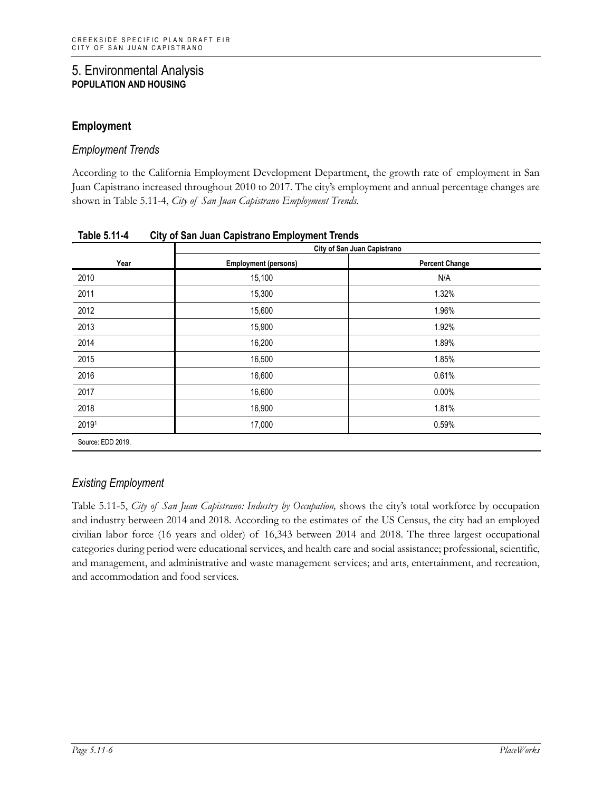## **Employment**

#### *Employment Trends*

According to the California Employment Development Department, the growth rate of employment in San Juan Capistrano increased throughout 2010 to 2017. The city's employment and annual percentage changes are shown in Table 5.11-4, *City of San Juan Capistrano Employment Trends*.

|       | City of San Juan Capistrano |                       |  |  |  |
|-------|-----------------------------|-----------------------|--|--|--|
| Year  | <b>Employment (persons)</b> | <b>Percent Change</b> |  |  |  |
| 2010  | 15,100                      | N/A                   |  |  |  |
| 2011  | 15,300                      | 1.32%                 |  |  |  |
| 2012  | 15,600                      | 1.96%                 |  |  |  |
| 2013  | 15,900                      | 1.92%                 |  |  |  |
| 2014  | 16,200                      | 1.89%                 |  |  |  |
| 2015  | 16,500                      | 1.85%                 |  |  |  |
| 2016  | 16,600                      | 0.61%                 |  |  |  |
| 2017  | 16,600                      | $0.00\%$              |  |  |  |
| 2018  | 16,900                      | 1.81%                 |  |  |  |
| 20191 | 17,000                      | 0.59%                 |  |  |  |

**Table 5.11-4 City of San Juan Capistrano Employment Trends**

## *Existing Employment*

Table 5.11-5, *City of San Juan Capistrano: Industry by Occupation,* shows the city's total workforce by occupation and industry between 2014 and 2018. According to the estimates of the US Census, the city had an employed civilian labor force (16 years and older) of 16,343 between 2014 and 2018. The three largest occupational categories during period were educational services, and health care and social assistance; professional, scientific, and management, and administrative and waste management services; and arts, entertainment, and recreation, and accommodation and food services.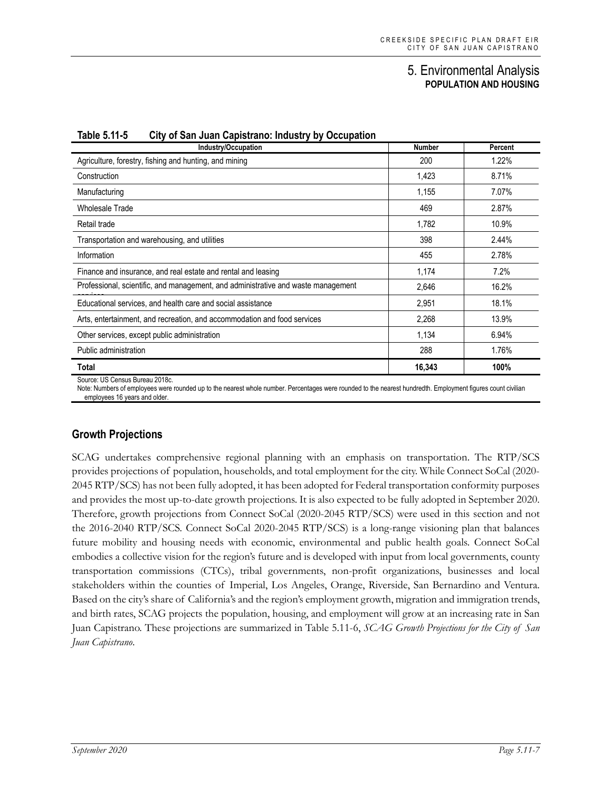| Industry/Occupation                                                               | <b>Number</b> | Percent |
|-----------------------------------------------------------------------------------|---------------|---------|
| Agriculture, forestry, fishing and hunting, and mining                            | 200           | 1.22%   |
| Construction                                                                      | 1,423         | 8.71%   |
| Manufacturing                                                                     | 1,155         | 7.07%   |
| <b>Wholesale Trade</b>                                                            | 469           | 2.87%   |
| Retail trade                                                                      | 1,782         | 10.9%   |
| Transportation and warehousing, and utilities                                     | 398           | 2.44%   |
| Information                                                                       | 455           | 2.78%   |
| Finance and insurance, and real estate and rental and leasing                     | 1,174         | 7.2%    |
| Professional, scientific, and management, and administrative and waste management | 2,646         | 16.2%   |
| Educational services, and health care and social assistance                       | 2,951         | 18.1%   |
| Arts, entertainment, and recreation, and accommodation and food services          | 2,268         | 13.9%   |
| Other services, except public administration                                      | 1,134         | 6.94%   |
| Public administration                                                             | 288           | 1.76%   |
| Total                                                                             | 16,343        | 100%    |
| Source: US Census Bureau 2018c.                                                   |               |         |

#### **Table 5.11-5 City of San Juan Capistrano: Industry by Occupation**

Note: Numbers of employees were rounded up to the nearest whole number. Percentages were rounded to the nearest hundredth. Employment figures count civilian employees 16 years and older.

### **Growth Projections**

SCAG undertakes comprehensive regional planning with an emphasis on transportation. The RTP/SCS provides projections of population, households, and total employment for the city. While Connect SoCal (2020- 2045 RTP/SCS) has not been fully adopted, it has been adopted for Federal transportation conformity purposes and provides the most up-to-date growth projections. It is also expected to be fully adopted in September 2020. Therefore, growth projections from Connect SoCal (2020-2045 RTP/SCS) were used in this section and not the 2016-2040 RTP/SCS. Connect SoCal 2020-2045 RTP/SCS) is a long-range visioning plan that balances future mobility and housing needs with economic, environmental and public health goals. Connect SoCal embodies a collective vision for the region's future and is developed with input from local governments, county transportation commissions (CTCs), tribal governments, non-profit organizations, businesses and local stakeholders within the counties of Imperial, Los Angeles, Orange, Riverside, San Bernardino and Ventura. Based on the city's share of California's and the region's employment growth, migration and immigration trends, and birth rates, SCAG projects the population, housing, and employment will grow at an increasing rate in San Juan Capistrano. These projections are summarized in Table 5.11-6, *SCAG Growth Projections for the City of San Juan Capistrano*.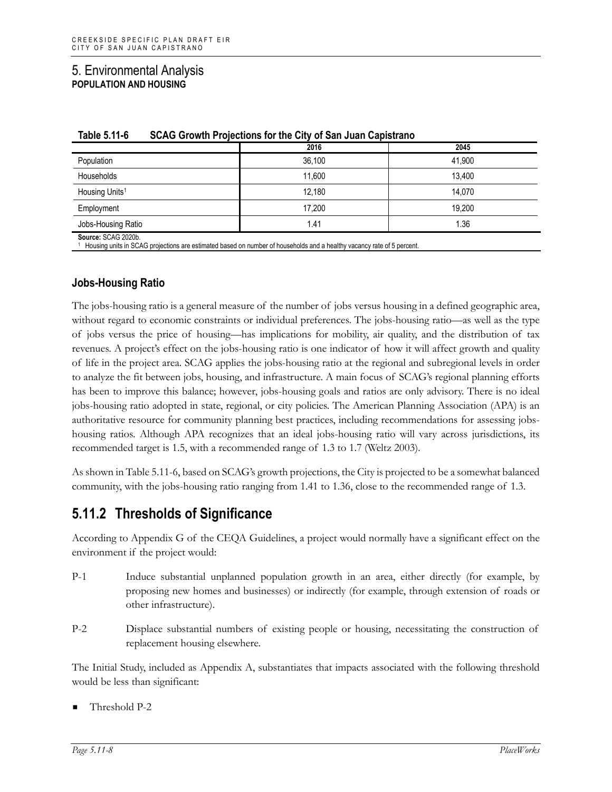|                            | 2016   | 2045   |
|----------------------------|--------|--------|
| Population                 | 36,100 | 41,900 |
| Households                 | 11,600 | 13,400 |
| Housing Units <sup>1</sup> | 12.180 | 14.070 |
| Employment                 | 17,200 | 19,200 |
| Jobs-Housing Ratio         | 1.41   | 1.36   |
| $0.00000$ $0.00000$        |        |        |

| Table 5.11-6 |  |  | SCAG Growth Projections for the City of San Juan Capistrano |
|--------------|--|--|-------------------------------------------------------------|
|--------------|--|--|-------------------------------------------------------------|

**Source:** SCAG 2020b.

 $1$  Housing units in SCAG projections are estimated based on number of households and a healthy vacancy rate of 5 percent.

#### **Jobs-Housing Ratio**

The jobs-housing ratio is a general measure of the number of jobs versus housing in a defined geographic area, without regard to economic constraints or individual preferences. The jobs-housing ratio—as well as the type of jobs versus the price of housing—has implications for mobility, air quality, and the distribution of tax revenues. A project's effect on the jobs-housing ratio is one indicator of how it will affect growth and quality of life in the project area. SCAG applies the jobs-housing ratio at the regional and subregional levels in order to analyze the fit between jobs, housing, and infrastructure. A main focus of SCAG's regional planning efforts has been to improve this balance; however, jobs-housing goals and ratios are only advisory. There is no ideal jobs-housing ratio adopted in state, regional, or city policies. The American Planning Association (APA) is an authoritative resource for community planning best practices, including recommendations for assessing jobshousing ratios. Although APA recognizes that an ideal jobs-housing ratio will vary across jurisdictions, its recommended target is 1.5, with a recommended range of 1.3 to 1.7 (Weltz 2003).

As shown in Table 5.11-6, based on SCAG's growth projections, the City is projected to be a somewhat balanced community, with the jobs-housing ratio ranging from 1.41 to 1.36, close to the recommended range of 1.3.

# **5.11.2 Thresholds of Significance**

According to Appendix G of the CEQA Guidelines, a project would normally have a significant effect on the environment if the project would:

- P-1 Induce substantial unplanned population growth in an area, either directly (for example, by proposing new homes and businesses) or indirectly (for example, through extension of roads or other infrastructure).
- P-2 Displace substantial numbers of existing people or housing, necessitating the construction of replacement housing elsewhere.

The Initial Study, included as Appendix A, substantiates that impacts associated with the following threshold would be less than significant:

Threshold P-2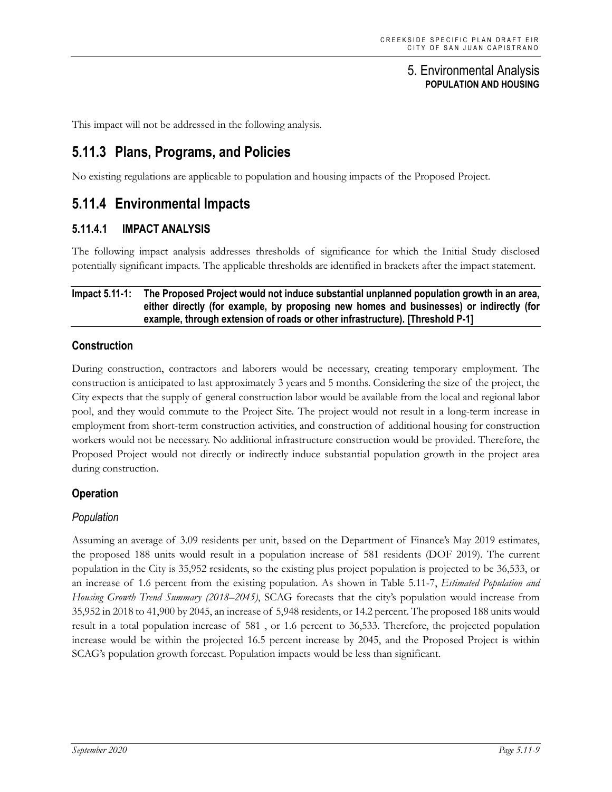This impact will not be addressed in the following analysis.

# **5.11.3 Plans, Programs, and Policies**

No existing regulations are applicable to population and housing impacts of the Proposed Project.

## **5.11.4 Environmental Impacts**

### **5.11.4.1 IMPACT ANALYSIS**

The following impact analysis addresses thresholds of significance for which the Initial Study disclosed potentially significant impacts. The applicable thresholds are identified in brackets after the impact statement.

#### **Impact 5.11-1: The Proposed Project would not induce substantial unplanned population growth in an area, either directly (for example, by proposing new homes and businesses) or indirectly (for example, through extension of roads or other infrastructure). [Threshold P-1]**

#### **Construction**

During construction, contractors and laborers would be necessary, creating temporary employment. The construction is anticipated to last approximately 3 years and 5 months. Considering the size of the project, the City expects that the supply of general construction labor would be available from the local and regional labor pool, and they would commute to the Project Site. The project would not result in a long-term increase in employment from short-term construction activities, and construction of additional housing for construction workers would not be necessary. No additional infrastructure construction would be provided. Therefore, the Proposed Project would not directly or indirectly induce substantial population growth in the project area during construction.

#### **Operation**

#### *Population*

Assuming an average of 3.09 residents per unit, based on the Department of Finance's May 2019 estimates, the proposed 188 units would result in a population increase of 581 residents (DOF 2019). The current population in the City is 35,952 residents, so the existing plus project population is projected to be 36,533, or an increase of 1.6 percent from the existing population. As shown in Table 5.11-7, *Estimated Population and Housing Growth Trend Summary (2018–2045)*, SCAG forecasts that the city's population would increase from 35,952 in 2018 to 41,900 by 2045, an increase of 5,948 residents, or 14.2 percent. The proposed 188 units would result in a total population increase of 581 , or 1.6 percent to 36,533. Therefore, the projected population increase would be within the projected 16.5 percent increase by 2045, and the Proposed Project is within SCAG's population growth forecast. Population impacts would be less than significant.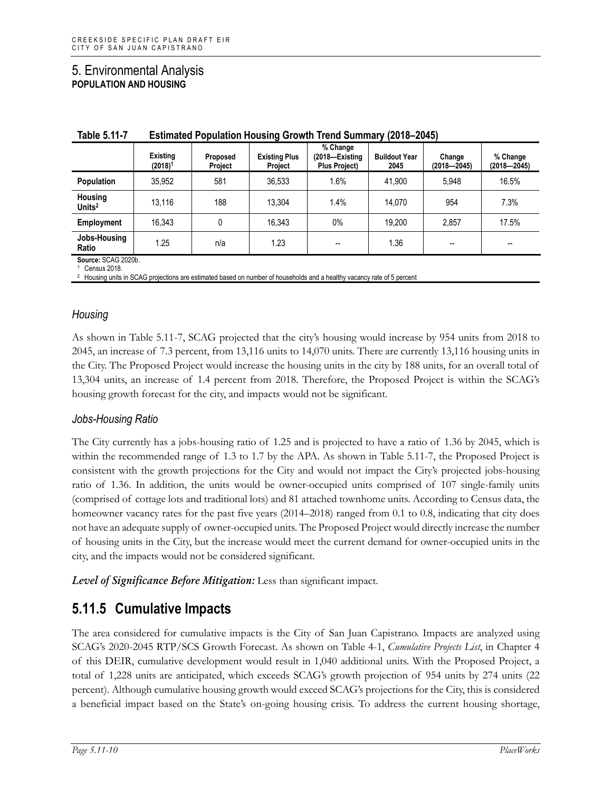| .                      |                     |                                 |                                                    |                              |                       |                             |
|------------------------|---------------------|---------------------------------|----------------------------------------------------|------------------------------|-----------------------|-----------------------------|
| Existing<br>$(2018)^1$ | Proposed<br>Project | <b>Existing Plus</b><br>Project | % Change<br>(2018–Existing<br><b>Plus Project)</b> | <b>Buildout Year</b><br>2045 | Change<br>(2018—2045) | % Change<br>$(2018 - 2045)$ |
| 35.952                 | 581                 | 36.533                          | 1.6%                                               | 41.900                       | 5.948                 | 16.5%                       |
| 13.116                 | 188                 | 13.304                          | 1.4%                                               | 14.070                       | 954                   | 7.3%                        |
| 16.343                 |                     | 16.343                          | 0%                                                 | 19.200                       | 2.857                 | 17.5%                       |
| 1.25                   | n/a                 | 1.23                            | $\overline{\phantom{m}}$                           | 1.36                         | --                    | --                          |
|                        |                     |                                 |                                                    |                              |                       |                             |

| Table 5.11-7 | <b>Estimated Population Housing Growth Trend Summary (2018-2045)</b> |  |  |
|--------------|----------------------------------------------------------------------|--|--|
|              |                                                                      |  |  |

**Source:** SCAG 2020b. Census 2018

<sup>2</sup> Housing units in SCAG projections are estimated based on number of households and a healthy vacancy rate of 5 percent

### *Housing*

As shown in Table 5.11-7, SCAG projected that the city's housing would increase by 954 units from 2018 to 2045, an increase of 7.3 percent, from 13,116 units to 14,070 units. There are currently 13,116 housing units in the City. The Proposed Project would increase the housing units in the city by 188 units, for an overall total of 13,304 units, an increase of 1.4 percent from 2018. Therefore, the Proposed Project is within the SCAG's housing growth forecast for the city, and impacts would not be significant.

### *Jobs-Housing Ratio*

The City currently has a jobs-housing ratio of 1.25 and is projected to have a ratio of 1.36 by 2045, which is within the recommended range of 1.3 to 1.7 by the APA. As shown in Table 5.11-7, the Proposed Project is consistent with the growth projections for the City and would not impact the City's projected jobs-housing ratio of 1.36. In addition, the units would be owner-occupied units comprised of 107 single-family units (comprised of cottage lots and traditional lots) and 81 attached townhome units. According to Census data, the homeowner vacancy rates for the past five years (2014–2018) ranged from 0.1 to 0.8, indicating that city does not have an adequate supply of owner-occupied units. The Proposed Project would directly increase the number of housing units in the City, but the increase would meet the current demand for owner-occupied units in the city, and the impacts would not be considered significant.

*Level of Significance Before Mitigation:* Less than significant impact.

# **5.11.5 Cumulative Impacts**

The area considered for cumulative impacts is the City of San Juan Capistrano. Impacts are analyzed using SCAG's 2020-2045 RTP/SCS Growth Forecast. As shown on Table 4-1, *Cumulative Projects List*, in Chapter 4 of this DEIR, cumulative development would result in 1,040 additional units. With the Proposed Project, a total of 1,228 units are anticipated, which exceeds SCAG's growth projection of 954 units by 274 units (22 percent). Although cumulative housing growth would exceed SCAG's projections for the City, this is considered a beneficial impact based on the State's on-going housing crisis. To address the current housing shortage,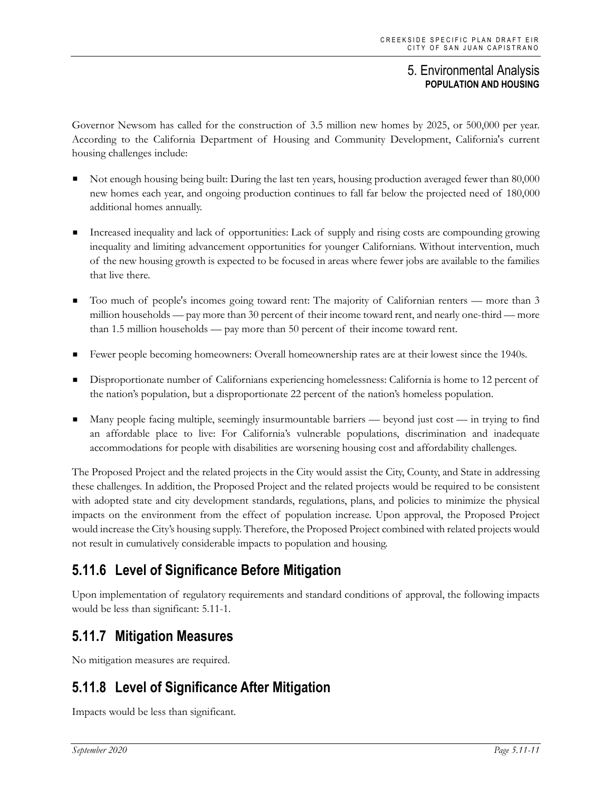Governor Newsom has called for the construction of 3.5 million new homes by 2025, or 500,000 per year. According to the California Department of Housing and Community Development, California's current housing challenges include:

- Not enough housing being built: During the last ten years, housing production averaged fewer than 80,000 new homes each year, and ongoing production continues to fall far below the projected need of 180,000 additional homes annually.
- Increased inequality and lack of opportunities: Lack of supply and rising costs are compounding growing inequality and limiting advancement opportunities for younger Californians. Without intervention, much of the new housing growth is expected to be focused in areas where fewer jobs are available to the families that live there.
- Too much of people's incomes going toward rent: The majority of Californian renters more than 3 million households — pay more than 30 percent of their income toward rent, and nearly one-third — more than 1.5 million households — pay more than 50 percent of their income toward rent.
- Fewer people becoming homeowners: Overall homeownership rates are at their lowest since the 1940s.
- Disproportionate number of Californians experiencing homelessness: California is home to 12 percent of the nation's population, but a disproportionate 22 percent of the nation's homeless population.
- Many people facing multiple, seemingly insurmountable barriers beyond just cost in trying to find an affordable place to live: For California's vulnerable populations, discrimination and inadequate accommodations for people with disabilities are worsening housing cost and affordability challenges.

The Proposed Project and the related projects in the City would assist the City, County, and State in addressing these challenges. In addition, the Proposed Project and the related projects would be required to be consistent with adopted state and city development standards, regulations, plans, and policies to minimize the physical impacts on the environment from the effect of population increase. Upon approval, the Proposed Project would increase the City's housing supply. Therefore, the Proposed Project combined with related projects would not result in cumulatively considerable impacts to population and housing.

# **5.11.6 Level of Significance Before Mitigation**

Upon implementation of regulatory requirements and standard conditions of approval, the following impacts would be less than significant: 5.11-1.

# **5.11.7 Mitigation Measures**

No mitigation measures are required.

# **5.11.8 Level of Significance After Mitigation**

Impacts would be less than significant.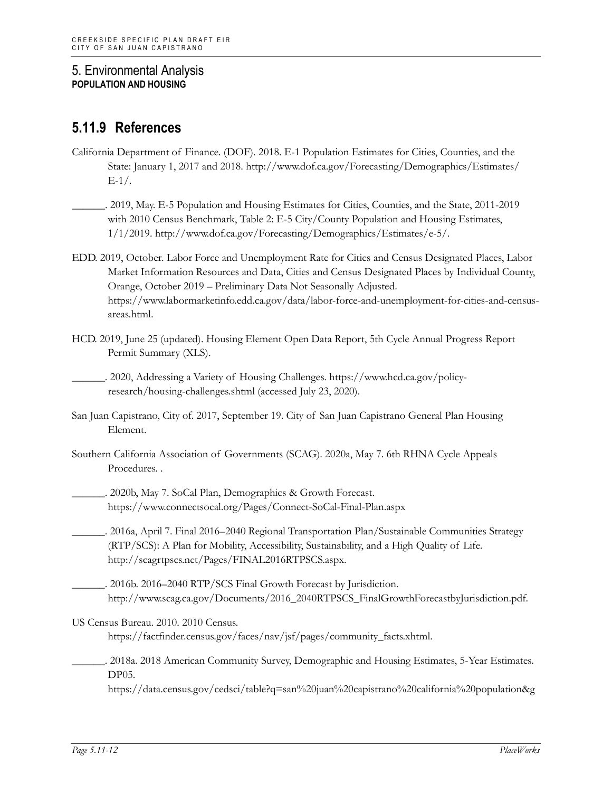# **5.11.9 References**

- California Department of Finance. (DOF). 2018. E-1 Population Estimates for Cities, Counties, and the State: January 1, 2017 and 2018. http://www.dof.ca.gov/Forecasting/Demographics/Estimates/  $E-1/$ .
- \_\_\_\_\_\_. 2019, May. E-5 Population and Housing Estimates for Cities, Counties, and the State, 2011-2019 with 2010 Census Benchmark, Table 2: E-5 City/County Population and Housing Estimates, 1/1/2019. http://www.dof.ca.gov/Forecasting/Demographics/Estimates/e-5/.
- EDD. 2019, October. Labor Force and Unemployment Rate for Cities and Census Designated Places, Labor Market Information Resources and Data, Cities and Census Designated Places by Individual County, Orange, October 2019 – Preliminary Data Not Seasonally Adjusted. https://www.labormarketinfo.edd.ca.gov/data/labor-force-and-unemployment-for-cities-and-censusareas.html.
- HCD. 2019, June 25 (updated). Housing Element Open Data Report, 5th Cycle Annual Progress Report Permit Summary (XLS).

\_\_\_\_\_\_. 2020, Addressing a Variety of Housing Challenges. https://www.hcd.ca.gov/policyresearch/housing-challenges.shtml (accessed July 23, 2020).

- San Juan Capistrano, City of. 2017, September 19. City of San Juan Capistrano General Plan Housing Element.
- Southern California Association of Governments (SCAG). 2020a, May 7. 6th RHNA Cycle Appeals Procedures. .
	- \_\_\_\_\_\_. 2020b, May 7. SoCal Plan, Demographics & Growth Forecast. https://www.connectsocal.org/Pages/Connect-SoCal-Final-Plan.aspx
- \_\_\_\_\_\_. 2016a, April 7. Final 2016–2040 Regional Transportation Plan/Sustainable Communities Strategy (RTP/SCS): A Plan for Mobility, Accessibility, Sustainability, and a High Quality of Life. http://scagrtpscs.net/Pages/FINAL2016RTPSCS.aspx.
- \_\_\_\_\_\_. 2016b. 2016–2040 RTP/SCS Final Growth Forecast by Jurisdiction. http://www.scag.ca.gov/Documents/2016\_2040RTPSCS\_FinalGrowthForecastbyJurisdiction.pdf.
- US Census Bureau. 2010. 2010 Census. https://factfinder.census.gov/faces/nav/jsf/pages/community\_facts.xhtml.
	- \_\_\_\_\_\_. 2018a. 2018 American Community Survey, Demographic and Housing Estimates, 5-Year Estimates. DP05.

https://data.census.gov/cedsci/table?q=san%20juan%20capistrano%20california%20population&g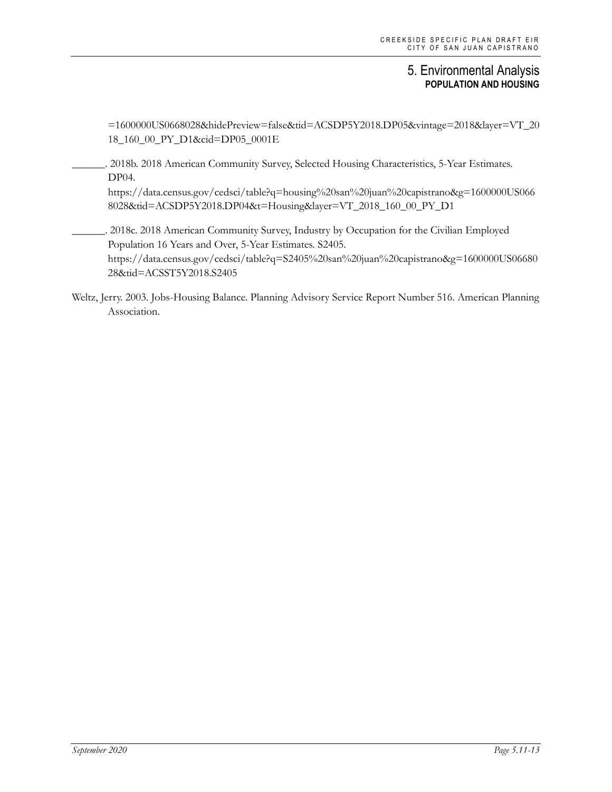=1600000US0668028&hidePreview=false&tid=ACSDP5Y2018.DP05&vintage=2018&layer=VT\_20 18\_160\_00\_PY\_D1&cid=DP05\_0001E

\_\_\_\_\_\_. 2018b. 2018 American Community Survey, Selected Housing Characteristics, 5-Year Estimates. DP04.

https://data.census.gov/cedsci/table?q=housing%20san%20juan%20capistrano&g=1600000US066 8028&tid=ACSDP5Y2018.DP04&t=Housing&layer=VT\_2018\_160\_00\_PY\_D1

. 2018c. 2018 American Community Survey, Industry by Occupation for the Civilian Employed Population 16 Years and Over, 5-Year Estimates. S2405. https://data.census.gov/cedsci/table?q=S2405%20san%20juan%20capistrano&g=1600000US06680 28&tid=ACSST5Y2018.S2405

Weltz, Jerry. 2003. Jobs-Housing Balance. Planning Advisory Service Report Number 516. American Planning Association.